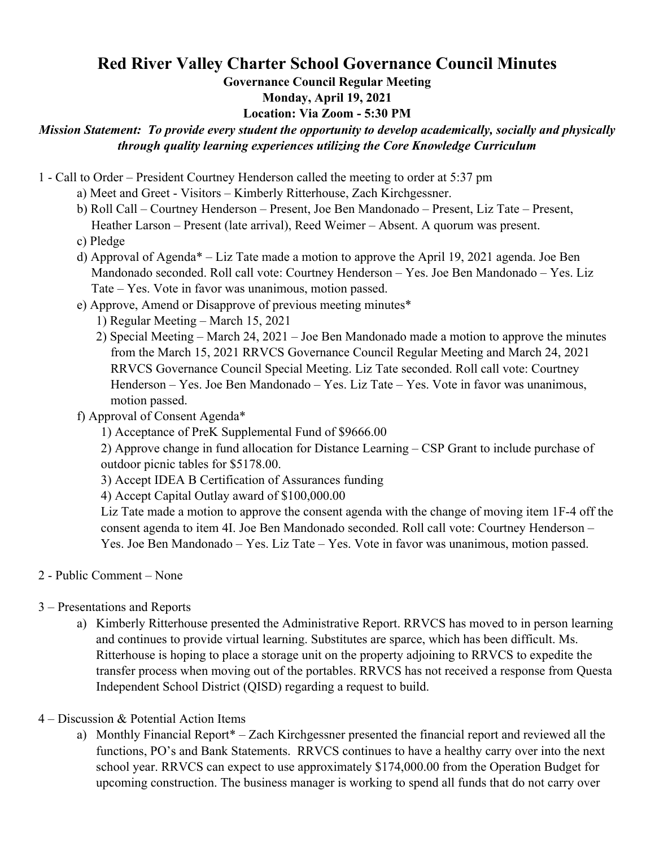## **Red River Valley Charter School Governance Council Minutes**

**Governance Council Regular Meeting**

**Monday, April 19, 2021**

## **Location: Via Zoom - 5:30 PM**

## *Mission Statement: To provide every student the opportunity to develop academically, socially and physically through quality learning experiences utilizing the Core Knowledge Curriculum*

- 1 Call to Order President Courtney Henderson called the meeting to order at 5:37 pm
	- a) Meet and Greet Visitors Kimberly Ritterhouse, Zach Kirchgessner.
	- b) Roll Call Courtney Henderson Present, Joe Ben Mandonado Present, Liz Tate Present, Heather Larson – Present (late arrival), Reed Weimer – Absent. A quorum was present.
	- c) Pledge
	- d) Approval of Agenda\* Liz Tate made a motion to approve the April 19, 2021 agenda. Joe Ben Mandonado seconded. Roll call vote: Courtney Henderson – Yes. Joe Ben Mandonado – Yes. Liz Tate – Yes. Vote in favor was unanimous, motion passed.
	- e) Approve, Amend or Disapprove of previous meeting minutes\*
		- 1) Regular Meeting March 15, 2021
		- 2) Special Meeting March 24, 2021 Joe Ben Mandonado made a motion to approve the minutes from the March 15, 2021 RRVCS Governance Council Regular Meeting and March 24, 2021 RRVCS Governance Council Special Meeting. Liz Tate seconded. Roll call vote: Courtney Henderson – Yes. Joe Ben Mandonado – Yes. Liz Tate – Yes. Vote in favor was unanimous, motion passed.
	- f) Approval of Consent Agenda\*
		- 1) Acceptance of PreK Supplemental Fund of \$9666.00

2) Approve change in fund allocation for Distance Learning – CSP Grant to include purchase of outdoor picnic tables for \$5178.00.

- 3) Accept IDEA B Certification of Assurances funding
- 4) Accept Capital Outlay award of \$100,000.00

Liz Tate made a motion to approve the consent agenda with the change of moving item 1F-4 off the consent agenda to item 4I. Joe Ben Mandonado seconded. Roll call vote: Courtney Henderson – Yes. Joe Ben Mandonado – Yes. Liz Tate – Yes. Vote in favor was unanimous, motion passed.

- 2 Public Comment None
- 3 Presentations and Reports
	- a) Kimberly Ritterhouse presented the Administrative Report. RRVCS has moved to in person learning and continues to provide virtual learning. Substitutes are sparce, which has been difficult. Ms. Ritterhouse is hoping to place a storage unit on the property adjoining to RRVCS to expedite the transfer process when moving out of the portables. RRVCS has not received a response from Questa Independent School District (QISD) regarding a request to build.
- 4 Discussion & Potential Action Items
	- a) Monthly Financial Report\* Zach Kirchgessner presented the financial report and reviewed all the functions, PO's and Bank Statements. RRVCS continues to have a healthy carry over into the next school year. RRVCS can expect to use approximately \$174,000.00 from the Operation Budget for upcoming construction. The business manager is working to spend all funds that do not carry over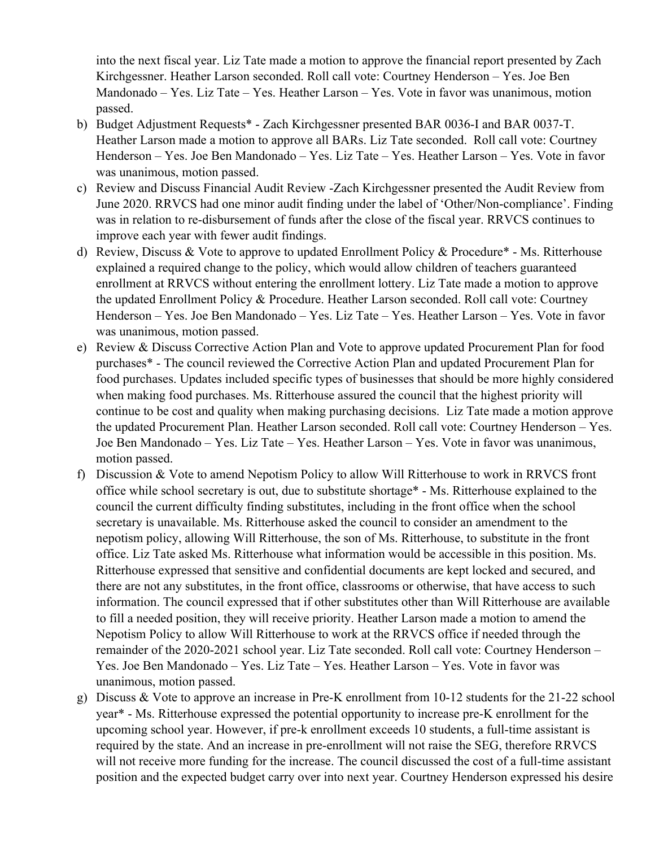into the next fiscal year. Liz Tate made a motion to approve the financial report presented by Zach Kirchgessner. Heather Larson seconded. Roll call vote: Courtney Henderson – Yes. Joe Ben Mandonado – Yes. Liz Tate – Yes. Heather Larson – Yes. Vote in favor was unanimous, motion passed.

- b) Budget Adjustment Requests\* Zach Kirchgessner presented BAR 0036-I and BAR 0037-T. Heather Larson made a motion to approve all BARs. Liz Tate seconded. Roll call vote: Courtney Henderson – Yes. Joe Ben Mandonado – Yes. Liz Tate – Yes. Heather Larson – Yes. Vote in favor was unanimous, motion passed.
- c) Review and Discuss Financial Audit Review -Zach Kirchgessner presented the Audit Review from June 2020. RRVCS had one minor audit finding under the label of 'Other/Non-compliance'. Finding was in relation to re-disbursement of funds after the close of the fiscal year. RRVCS continues to improve each year with fewer audit findings.
- d) Review, Discuss & Vote to approve to updated Enrollment Policy & Procedure\* Ms. Ritterhouse explained a required change to the policy, which would allow children of teachers guaranteed enrollment at RRVCS without entering the enrollment lottery. Liz Tate made a motion to approve the updated Enrollment Policy & Procedure. Heather Larson seconded. Roll call vote: Courtney Henderson – Yes. Joe Ben Mandonado – Yes. Liz Tate – Yes. Heather Larson – Yes. Vote in favor was unanimous, motion passed.
- e) Review & Discuss Corrective Action Plan and Vote to approve updated Procurement Plan for food purchases\* - The council reviewed the Corrective Action Plan and updated Procurement Plan for food purchases. Updates included specific types of businesses that should be more highly considered when making food purchases. Ms. Ritterhouse assured the council that the highest priority will continue to be cost and quality when making purchasing decisions. Liz Tate made a motion approve the updated Procurement Plan. Heather Larson seconded. Roll call vote: Courtney Henderson – Yes. Joe Ben Mandonado – Yes. Liz Tate – Yes. Heather Larson – Yes. Vote in favor was unanimous, motion passed.
- f) Discussion & Vote to amend Nepotism Policy to allow Will Ritterhouse to work in RRVCS front office while school secretary is out, due to substitute shortage\* - Ms. Ritterhouse explained to the council the current difficulty finding substitutes, including in the front office when the school secretary is unavailable. Ms. Ritterhouse asked the council to consider an amendment to the nepotism policy, allowing Will Ritterhouse, the son of Ms. Ritterhouse, to substitute in the front office. Liz Tate asked Ms. Ritterhouse what information would be accessible in this position. Ms. Ritterhouse expressed that sensitive and confidential documents are kept locked and secured, and there are not any substitutes, in the front office, classrooms or otherwise, that have access to such information. The council expressed that if other substitutes other than Will Ritterhouse are available to fill a needed position, they will receive priority. Heather Larson made a motion to amend the Nepotism Policy to allow Will Ritterhouse to work at the RRVCS office if needed through the remainder of the 2020-2021 school year. Liz Tate seconded. Roll call vote: Courtney Henderson – Yes. Joe Ben Mandonado – Yes. Liz Tate – Yes. Heather Larson – Yes. Vote in favor was unanimous, motion passed.
- g) Discuss & Vote to approve an increase in Pre-K enrollment from 10-12 students for the 21-22 school year\* - Ms. Ritterhouse expressed the potential opportunity to increase pre-K enrollment for the upcoming school year. However, if pre-k enrollment exceeds 10 students, a full-time assistant is required by the state. And an increase in pre-enrollment will not raise the SEG, therefore RRVCS will not receive more funding for the increase. The council discussed the cost of a full-time assistant position and the expected budget carry over into next year. Courtney Henderson expressed his desire